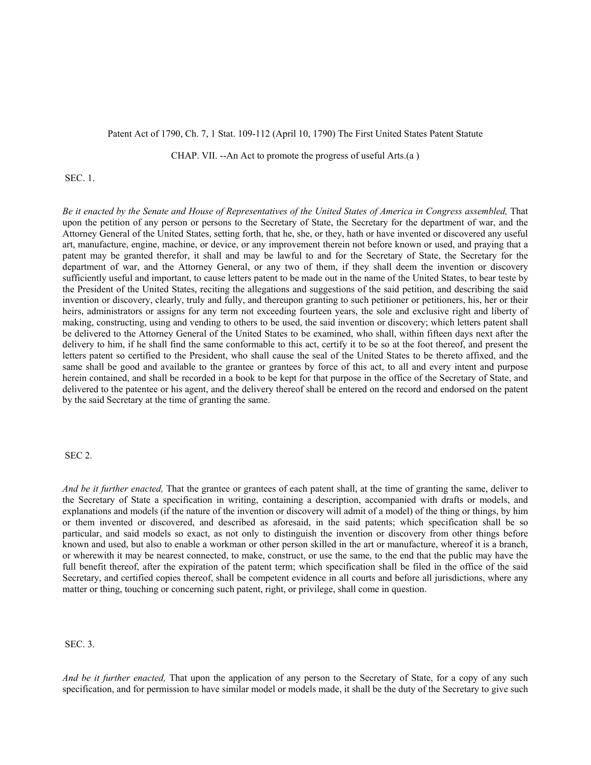## Patent Act of 1790, Ch. 7, 1 Stat. 109-112 (April 10, 1790) The First United States Patent Statute

CHAP. VII. --An Act to promote the progress of useful Arts.(a )

## SEC. 1.

*Be it enacted by the Senate and House of Representatives of the United States of America in Congress assembled,* That upon the petition of any person or persons to the Secretary of State, the Secretary for the department of war, and the Attorney General of the United States, setting forth, that he, she, or they, hath or have invented or discovered any useful art, manufacture, engine, machine, or device, or any improvement therein not before known or used, and praying that a patent may be granted therefor, it shall and may be lawful to and for the Secretary of State, the Secretary for the department of war, and the Attorney General, or any two of them, if they shall deem the invention or discovery sufficiently useful and important, to cause letters patent to be made out in the name of the United States, to bear teste by the President of the United States, reciting the allegations and suggestions of the said petition, and describing the said invention or discovery, clearly, truly and fully, and thereupon granting to such petitioner or petitioners, his, her or their heirs, administrators or assigns for any term not exceeding fourteen years, the sole and exclusive right and liberty of making, constructing, using and vending to others to be used, the said invention or discovery; which letters patent shall be delivered to the Attorney General of the United States to be examined, who shall, within fifteen days next after the delivery to him, if he shall find the same conformable to this act, certify it to be so at the foot thereof, and present the letters patent so certified to the President, who shall cause the seal of the United States to be thereto affixed, and the same shall be good and available to the grantee or grantees by force of this act, to all and every intent and purpose herein contained, and shall be recorded in a book to be kept for that purpose in the office of the Secretary of State, and delivered to the patentee or his agent, and the delivery thereof shall be entered on the record and endorsed on the patent by the said Secretary at the time of granting the same.

## SEC 2.

*And be it further enacted,* That the grantee or grantees of each patent shall, at the time of granting the same, deliver to the Secretary of State a specification in writing, containing a description, accompanied with drafts or models, and explanations and models (if the nature of the invention or discovery will admit of a model) of the thing or things, by him or them invented or discovered, and described as aforesaid, in the said patents; which specification shall be so particular, and said models so exact, as not only to distinguish the invention or discovery from other things before known and used, but also to enable a workman or other person skilled in the art or manufacture, whereof it is a branch, or wherewith it may be nearest connected, to make, construct, or use the same, to the end that the public may have the full benefit thereof, after the expiration of the patent term; which specification shall be filed in the office of the said Secretary, and certified copies thereof, shall be competent evidence in all courts and before all jurisdictions, where any matter or thing, touching or concerning such patent, right, or privilege, shall come in question.

SEC. 3.

*And be it further enacted,* That upon the application of any person to the Secretary of State, for a copy of any such specification, and for permission to have similar model or models made, it shall be the duty of the Secretary to give such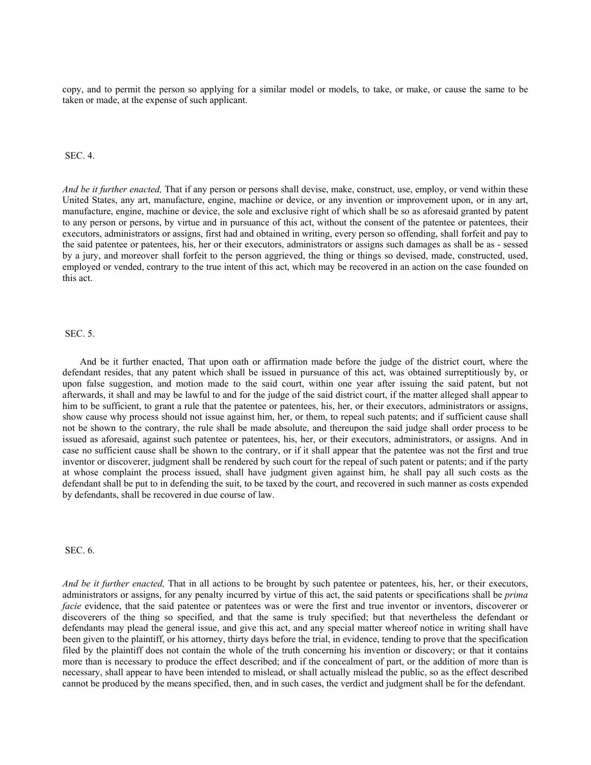copy, and to permit the person so applying for a similar model or models, to take, or make, or cause the same to be taken or made, at the expense of such applicant.

### SEC. 4.

*And be it further enacted,* That if any person or persons shall devise, make, construct, use, employ, or vend within these United States, any art, manufacture, engine, machine or device, or any invention or improvement upon, or in any art, manufacture, engine, machine or device, the sole and exclusive right of which shall be so as aforesaid granted by patent to any person or persons, by virtue and in pursuance of this act, without the consent of the patentee or patentees, their executors, administrators or assigns, first had and obtained in writing, every person so offending, shall forfeit and pay to the said patentee or patentees, his, her or their executors, administrators or assigns such damages as shall be as - sessed by a jury, and moreover shall forfeit to the person aggrieved, the thing or things so devised, made, constructed, used, employed or vended, contrary to the true intent of this act, which may be recovered in an action on the case founded on this act.

#### SEC. 5.

And be it further enacted, That upon oath or affirmation made before the judge of the district court, where the defendant resides, that any patent which shall be issued in pursuance of this act, was obtained surreptitiously by, or upon false suggestion, and motion made to the said court, within one year after issuing the said patent, but not afterwards, it shall and may be lawful to and for the judge of the said district court, if the matter alleged shall appear to him to be sufficient, to grant a rule that the patentee or patentees, his, her, or their executors, administrators or assigns, show cause why process should not issue against him, her, or them, to repeal such patents; and if sufficient cause shall not be shown to the contrary, the rule shall be made absolute, and thereupon the said judge shall order process to be issued as aforesaid, against such patentee or patentees, his, her, or their executors, administrators, or assigns. And in case no sufficient cause shall be shown to the contrary, or if it shall appear that the patentee was not the first and true inventor or discoverer, judgment shall be rendered by such court for the repeal of such patent or patents; and if the party at whose complaint the process issued, shall have judgment given against him, he shall pay all such costs as the defendant shall be put to in defending the suit, to be taxed by the court, and recovered in such manner as costs expended by defendants, shall be recovered in due course of law.

SEC. 6.

*And be it further enacted,* That in all actions to be brought by such patentee or patentees, his, her, or their executors, administrators or assigns, for any penalty incurred by virtue of this act, the said patents or specifications shall be *prima facie* evidence, that the said patentee or patentees was or were the first and true inventor or inventors, discoverer or discoverers of the thing so specified, and that the same is truly specified; but that nevertheless the defendant or defendants may plead the general issue, and give this act, and any special matter whereof notice in writing shall have been given to the plaintiff, or his attorney, thirty days before the trial, in evidence, tending to prove that the specification filed by the plaintiff does not contain the whole of the truth concerning his invention or discovery; or that it contains more than is necessary to produce the effect described; and if the concealment of part, or the addition of more than is necessary, shall appear to have been intended to mislead, or shall actually mislead the public, so as the effect described cannot be produced by the means specified, then, and in such cases, the verdict and judgment shall be for the defendant.